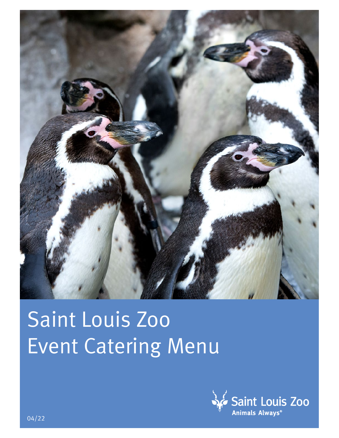

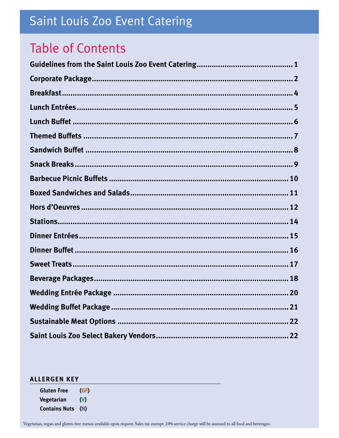## **Table of Contents**

#### **ALLERGEN KEY**

**Gluten Free**  $(GF)$ Vegetarian  $\boldsymbol{\mathsf{M}}$ **Contains Nuts** (N)

Vegetarian, vegan and gluten-free menus available upon request. Sales tax exempt. 24% service charge will be assessed to all food and beverages.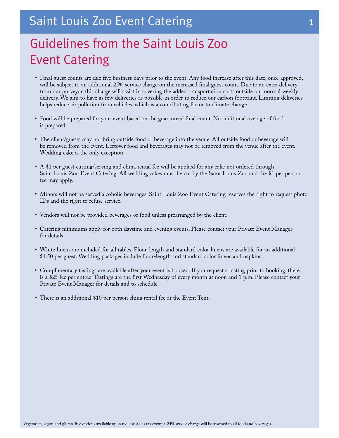## <span id="page-2-0"></span>Guidelines from the Saint Louis Zoo Event Catering

- Final guest counts are due five business days prior to the event. Any food increase after this date, once approved, will be subject to an additional 25% service charge on the increased final guest count. Due to an extra delivery from our purveyor, this charge will assist in covering the added transportation costs outside our normal weekly delivery. We aim to have as few deliveries as possible in order to reduce our carbon footprint. Limiting deliveries helps reduce air pollution from vehicles, which is a contributing factor to climate change.
- Food will be prepared for your event based on the guaranteed final count. No additional overage of food is prepared.
- The client/guests may not bring outside food or beverage into the venue. All outside food or beverage will be removed from the event. Leftover food and beverages may not be removed from the venue after the event. Wedding cake is the only exception.
- A \$1 per guest cutting/serving and china rental fee will be applied for any cake not ordered through Saint Louis Zoo Event Catering. All wedding cakes must be cut by the Saint Louis Zoo and the \$1 per person fee may apply.
- Minors will not be served alcoholic beverages. Saint Louis Zoo Event Catering reserves the right to request photo IDs and the right to refuse service.
- Vendors will not be provided beverages or food unless prearranged by the client.
- Catering minimums apply for both daytime and evening events. Please contact your Private Event Manager for details.
- White linens are included for all tables. Floor-length and standard color linens are available for an additional \$1.50 per guest. Wedding packages include floor-length and standard color linens and napkins.
- Complimentary tastings are available after your event is booked. If you request a tasting prior to booking, there is a \$25 fee per entrée. Tastings are the first Wednesday of every month at noon and 1 p.m. Please contact your Private Event Manager for details and to schedule.
- There is an additional \$10 per person china rental fee at the Event Tent.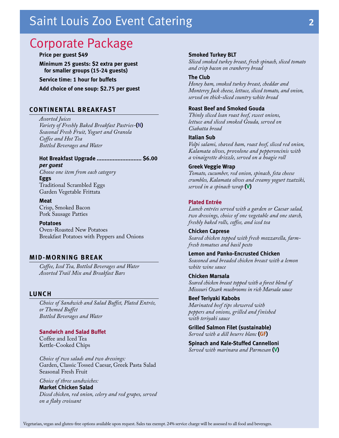### <span id="page-3-0"></span>Corporate Package

#### **Price per guest \$49**

**Minimum 25 guests: \$2 extra per guest for smaller groups (15-24 guests)**

**Service time: 1 hour for buffets**

**Add choice of one soup: \$2.75 per guest**

#### **CONTINENTAL BREAKFAST**

*Assorted Juices Variety of Freshly Baked Breakfast Pastries-***(N)** *Seasonal Fresh Fruit, Yogurt and Granola Coffee and Hot Tea Bottled Beverages and Water*

**Hot Breakfast Upgrade ............................ \$6.00**  *per guest Choose one item from each category* **Eggs** Traditional Scrambled Eggs Garden Vegetable Frittata

**Meat** Crisp, Smoked Bacon Pork Sausage Patties

**Potatoes** Oven-Roasted New Potatoes Breakfast Potatoes with Peppers and Onions

#### **MID-MORNING BREAK**

*Coffee, Iced Tea, Bottled Beverages and Water Assorted Trail Mix and Breakfast Bars*

#### **LUNCH**

*Choice of Sandwich and Salad Buffet, Plated Entrée, or Themed Buffet Bottled Beverages and Water*

#### **Sandwich and Salad Buffet**

Coffee and Iced Tea Kettle-Cooked Chips

*Choice of two salads and two dressings:* Garden, Classic Tossed Caesar, Greek Pasta Salad Seasonal Fresh Fruit

*Choice of three sandwiches:* **Market Chicken Salad** *Diced chicken, red onion, celery and red grapes, served on a flaky croissant*

#### **Smoked Turkey BLT**

*Sliced smoked turkey breast, fresh spinach, sliced tomato and crisp bacon on cranberry bread*

#### **The Club**

*Honey ham, smoked turkey breast, cheddar and Monterey Jack cheese, lettuce, sliced tomato, and onion, served on thick-sliced country white bread*

#### **Roast Beef and Smoked Gouda**

*Thinly sliced lean roast beef, sweet onions, lettuce and sliced smoked Gouda, served on Ciabatta bread*

#### **Italian Sub**

*Volpi salami, shaved ham, roast beef, sliced red onion, Kalamata olives, provolone and pepperoncinis with a vinaigrette drizzle, served on a hoagie roll*

#### **Greek Veggie Wrap**

*Tomato, cucumber, red onion, spinach, feta cheese crumbles, Kalamata olives and creamy yogurt tzatziki, served in a spinach wrap* **(V)**

#### **Plated Entrée**

*Lunch entrées served with a garden or Caesar salad, two dressings, choice of one vegetable and one starch, freshly baked rolls, coffee, and iced tea*

**Chicken Caprese** *Seared chicken topped with fresh mozzarella, farmfresh tomatoes and basil pesto* 

**Lemon and Panko-Encrusted Chicken**  *Seasoned and breaded chicken breast with a lemon white wine sauce*

**Chicken Marsala** *Seared chicken breast topped with a forest blend of Missouri Ozark mushrooms in rich Marsala sauce* 

**Beef Teriyaki Kabobs** *Marinated beef tips skewered with peppers and onions, grilled and finished with teriyaki sauce*

**Grilled Salmon Filet (sustainable)** *Served with a dill beurre blanc* **(GF)**

**Spinach and Kale-Stuffed Cannelloni** *Served with marinara and Parmesan* **(V)**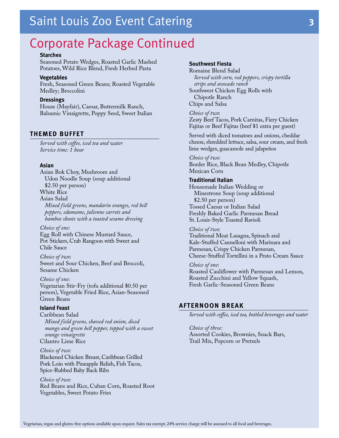### Corporate Package Continued

#### **Starches**

Seasoned Potato Wedges, Roasted Garlic Mashed Potatoes, Wild Rice Blend, Fresh Herbed Pasta

#### **Vegetables**

Fresh, Seasoned Green Beans; Roasted Vegetable Medley; Broccolini

#### **Dressings**

House (Mayfair), Caesar, Buttermilk Ranch, Balsamic Vinaigrette, Poppy Seed, Sweet Italian

#### **THEMED BUFFET**

*Served with coffee, iced tea and water Service time: 1 hour*

#### **Asian**

Asian Bok Choy, Mushroom and Udon Noodle Soup (soup additional \$2.50 per person) White Rice Asian Salad *Mixed field greens, mandarin oranges, red bell peppers, edamame, julienne carrots and bamboo shoots with a toasted sesame dressing*

*Choice of one*: Egg Roll with Chinese Mustard Sauce, Pot Stickers, Crab Rangoon with Sweet and Chile Sauce

*Choice of two*: Sweet and Sour Chicken, Beef and Broccoli, Sesame Chicken

*Choice of one*: Vegetarian Stir-Fry (tofu additional \$0.50 per person), Vegetable Fried Rice, Asian-Seasoned Green Beans

#### **Island Feast**

Caribbean Salad *Mixed field greens, shaved red onion, diced mango and green bell pepper, topped with a sweet orange vinaigrette*  Cilantro Lime Rice

*Choice of two*: Blackened Chicken Breast, Caribbean Grilled Pork Loin with Pineapple Relish, Fish Tacos, Spice-Rubbed Baby Back Ribs

*Choice of two*: Red Beans and Rice, Cuban Corn, Roasted Root Vegetables, Sweet Potato Fries

#### **Southwest Fiesta**

Romaine Blend Salad *Served with corn, red peppers, crispy tortilla strips and avocado ranch* Southwest Chicken Egg Rolls with Chipotle Ranch Chips and Salsa

*Choice of two*: Zesty Beef Tacos, Pork Carnitas, Fiery Chicken Fajitas or Beef Fajitas (beef \$1 extra per guest)

Served with diced tomatoes and onions, cheddar cheese, shredded lettuce, salsa, sour cream, and fresh lime wedges, guacamole and jalapeños

*Choice of two*: Border Rice, Black Bean Medley, Chipotle Mexican Corn

#### **Traditional Italian**

Housemade Italian Wedding or Minestrone Soup (soup additional \$2.50 per person) Tossed Caesar or Italian Salad Freshly Baked Garlic Parmesan Bread St. Louis-Style Toasted Ravioli

#### *Choice of two*:

Traditional Meat Lasagna, Spinach and Kale-Stuffed Cannelloni with Marinara and Parmesan, Crispy Chicken Parmesan, Cheese-Stuffed Tortellini in a Pesto Cream Sauce

#### *Choice of one*:

Roasted Cauliflower with Parmesan and Lemon, Roasted Zucchini and Yellow Squash, Fresh Garlic-Seasoned Green Beans

#### **AFTERNOON BREAK**

*Served with coffee, iced tea, bottled beverages and water*

*Choice of three:*  Assorted Cookies, Brownies, Snack Bars, Trail Mix, Popcorn or Pretzels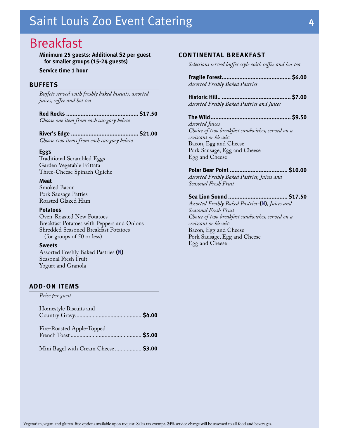### <span id="page-5-0"></span>Breakfast

**Minimum 25 guests: Additional \$2 per guest for smaller groups (15-24 guests)**

**Service time 1 hour**

#### **BUFFETS**

*Buffets served with freshly baked biscuits, assorted juices, coffee and hot tea*

**Red Rocks ............................................. \$17.50** *Choose one item from each category below*

**River's Edge .......................................... \$21.00** *Choose two items from each category below*

#### **Eggs**

Traditional Scrambled Eggs Garden Vegetable Frittata Three-Cheese Spinach Quiche

#### **Meat**

Smoked Bacon Pork Sausage Patties Roasted Glazed Ham

#### **Potatoes**

Oven-Roasted New Potatoes Breakfast Potatoes with Peppers and Onions Shredded Seasoned Breakfast Potatoes (for groups of 50 or less)

#### **Sweets**

Assorted Freshly Baked Pastries **(N)** Seasonal Fresh Fruit Yogurt and Granola

#### **ADD-ON ITEMS**

*Price per guest*

| Homestyle Biscuits and               |  |
|--------------------------------------|--|
| Fire-Roasted Apple-Topped            |  |
| Mini Bagel with Cream Cheese  \$3.00 |  |

#### **CONTINENTAL BREAKFAST**

*Selections served buffet style with coffee and hot tea*

**Fragile Forest........................................... \$6.00** *Assorted Freshly Baked Pastries*

**Historic Hill.. ........................................... \$7.00** *Assorted Freshly Baked Pastries and Juices*

#### **The Wild.................................................. \$9.50**

*Assorted Juices Choice of two breakfast sandwiches, served on a croissant or biscuit:* Bacon, Egg and Cheese Pork Sausage, Egg and Cheese Egg and Cheese

#### **Polar Bear Point .................................... \$10.00**

*Assorted Freshly Baked Pastries, Juices and Seasonal Fresh Fruit*

#### **Sea Lion Sound ..................................... \$17.50**

*Assorted Freshly Baked Pastries-***(N)***, Juices and Seasonal Fresh Fruit Choice of two breakfast sandwiches, served on a croissant or biscuit:* Bacon, Egg and Cheese Pork Sausage, Egg and Cheese Egg and Cheese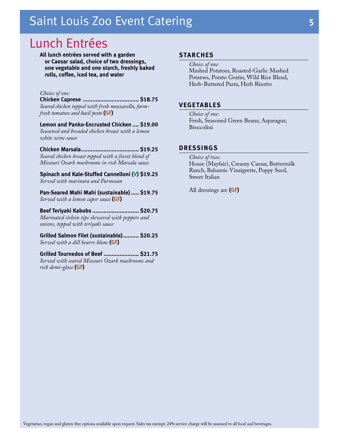### <span id="page-6-0"></span>Lunch Entrées

**All lunch entrées served with a garden or Caesar salad, choice of two dressings, one vegetable and one starch, freshly baked rolls, coffee, iced tea, and water**

#### *Choice of one:*

**Chicken Caprese ................................... \$18.75** *Seared chicken topped with fresh mozzarella, farmfresh tomatoes and basil pesto* **(GF)**

**Lemon and Panko-Encrusted Chicken .... \$19.00** *Seasoned and breaded chicken breast with a lemon white wine sauce* 

**Chicken Marsala.................................... \$19.25** *Seared chicken breast topped with a forest blend of Missouri Ozark mushrooms in rich Marsala sauce* 

**Spinach and Kale-Stuffed Cannelloni (V) \$19.25** *Served with marinara and Parmesan* 

**Pan-Seared Mahi Mahi (sustainable)..... \$19.75** *Served with a lemon caper sauce* **(GF)**

**Beef Teriyaki Kabobs ............................. \$20.75** *Marinated sirloin tips skewered with peppers and onions, topped with teriyaki sauce*

**Grilled Salmon Filet (sustainable).......... \$20.25** *Served with a dill beurre blanc* **(GF)**

**Grilled Tournedos of Beef ...................... \$21.75** *Served with seared Missouri Ozark mushrooms and rich demi-glace* **(GF)**

#### **STARCHES**

*Choice of one:* Mashed Potatoes, Roasted-Garlic Mashed Potatoes, Potato Gratin, Wild Rice Blend, Herb-Buttered Pasta, Herb Risotto

#### **VEGETABLES**

*Choice of one:* Fresh, Seasoned Green Beans; Asparagus; Broccolini

#### **DRESSINGS**

*Choice of two:* House (Mayfair), Creamy Caesar, Buttermilk Ranch, Balsamic Vinaigrette, Poppy Seed, Sweet Italian

All dressings are **(GF)**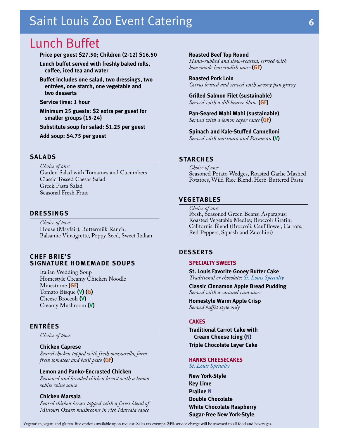### <span id="page-7-0"></span>Lunch Buffet

#### **Price per guest \$27.50; Children (2-12) \$16.50**

**Lunch buffet served with freshly baked rolls, coffee, iced tea and water**

**Buffet includes one salad, two dressings, two entrées, one starch, one vegetable and two desserts**

**Service time: 1 hour**

**Minimum 25 guests: \$2 extra per guest for smaller groups (15-24)**

**Substitute soup for salad: \$1.25 per guest**

**Add soup: \$4.75 per guest**

#### **SALADS**

*Choice of one:* Garden Salad with Tomatoes and Cucumbers Classic Tossed Caesar Salad Greek Pasta Salad Seasonal Fresh Fruit

#### **DRESSINGS**

*Choice of two:* House (Mayfair), Buttermilk Ranch, Balsamic Vinaigrette, Poppy Seed, Sweet Italian

#### **CHEF BRIE'S SIGNATURE HOMEMADE SOUPS**

Italian Wedding Soup Homestyle Creamy Chicken Noodle Minestrone **(GF)** Tomato Bisque **(V) (G)** Cheese Broccoli **(V)** Creamy Mushroom **(V)**

#### **ENTRÉES**

*Choice of two:*

#### **Chicken Caprese**

*Seared chicken topped with fresh mozzarella, farmfresh tomatoes and basil pesto* **(GF)**

#### **Lemon and Panko-Encrusted Chicken**

*Seasoned and breaded chicken breast with a lemon white wine sauce* 

#### **Chicken Marsala**

*Seared chicken breast topped with a forest blend of Missouri Ozark mushrooms in rich Marsala sauce* 

#### **Roasted Beef Top Round**

*Hand-rubbed and slow-roasted, served with housemade horseradish sauce* **(GF)**

**Roasted Pork Loin** *Citrus brined and served with savory pan gravy*

**Grilled Salmon Filet (sustainable)** *Served with a dill beurre blanc* **(GF)**

**Pan-Seared Mahi Mahi (sustainable)** *Served with a lemon caper sauce* **(GF)**

**Spinach and Kale-Stuffed Cannelloni** *Served with marinara and Parmesan* **(V)**

#### **STARCHES**

*Choice of one:* Seasoned Potato Wedges, Roasted Garlic Mashed Potatoes, Wild Rice Blend, Herb-Buttered Pasta

#### **VEGETABLES**

*Choice of one:* Fresh, Seasoned Green Beans; Asparagus; Roasted Vegetable Medley, Broccoli Gratin; California Blend (Broccoli, Cauliflower, Carrots, Red Peppers, Squash and Zucchini)

#### **DESSERTS**

#### **SPECIALTY SWEETS**

**St. Louis Favorite Gooey Butter Cake** *Traditional or chocolate; St. Louis Specialty*

**Classic Cinnamon Apple Bread Pudding** *Served with a caramel rum sauce*

**Homestyle Warm Apple Crisp** *Served buffet style only*

#### **CAKES**

**Traditional Carrot Cake with Cream Cheese Icing (N) Triple Chocolate Layer Cake**

#### **HANKS CHEESECAKES**

*St. Louis Specialty*

**New York-Style Key Lime Praline N Double Chocolate White Chocolate Raspberry Sugar-Free New York-Style**

Vegetarian, vegan and gluten-free options available upon request. Sales tax exempt. 24% service charge will be assessed to all food and beverages.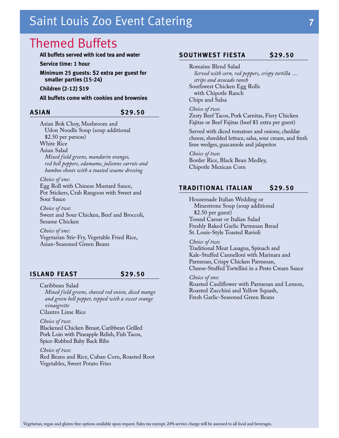### <span id="page-8-0"></span>Themed Buffets

#### **All buffets served with iced tea and water**

**Service time: 1 hour**

**Minimum 25 guests: \$2 extra per guest for smaller parties (15-24)**

**Children (2-12) \$19**

**All buffets come with cookies and brownies**

#### **ASIAN \$29.50**

Asian Bok Choy, Mushroom and Udon Noodle Soup (soup additional \$2.50 per person)

White Rice Asian Salad

*Mixed field greens, mandarin oranges, red bell peppers, edamame, julienne carrots and bamboo shoots with a toasted sesame dressing*

*Choice of one*: Egg Roll with Chinese Mustard Sauce, Pot Stickers, Crab Rangoon with Sweet and Sour Sauce

*Choice of two*: Sweet and Sour Chicken, Beef and Broccoli, Sesame Chicken

*Choice of one*: Vegetarian Stir-Fry, Vegetable Fried Rice, Asian-Seasoned Green Beans

#### **ISLAND FEAST \$29.50**

Caribbean Salad

*Mixed field greens, shaved red onion, diced mango and green bell pepper, topped with a sweet orange vinaigrette*  Cilantro Lime Rice

*Choice of two*: Blackened Chicken Breast, Caribbean Grilled Pork Loin with Pineapple Relish, Fish Tacos, Spice-Rubbed Baby Back Ribs

*Choice of two*: Red Beans and Rice, Cuban Corn, Roasted Root Vegetables, Sweet Potato Fries

#### **SOUTHWEST FIESTA \$29.50**

Romaine Blend Salad *Served with corn, red peppers, crispy tortilla .... strips and avocado ranch* Southwest Chicken Egg Rolls with Chipotle Ranch Chips and Salsa

*Choice of two*: Zesty Beef Tacos, Pork Carnitas, Fiery Chicken Fajitas or Beef Fajitas (beef \$1 extra per guest)

Served with diced tomatoes and onions, cheddar cheese, shredded lettuce, salsa, sour cream, and fresh lime wedges, guacamole and jalapeños

*Choice of two*: Border Rice, Black Bean Medley, Chipotle Mexican Corn

#### **TRADITIONAL ITALIAN \$29.50**

Housemade Italian Wedding or Minestrone Soup (soup additional \$2.50 per guest) Tossed Caesar or Italian Salad Freshly Baked Garlic Parmesan Bread St. Louis-Style Toasted Ravioli

*Choice of two*:

Traditional Meat Lasagna, Spinach and Kale-Stuffed Cannelloni with Marinara and Parmesan, Crispy Chicken Parmesan, Cheese-Stuffed Tortellini in a Pesto Cream Sauce

*Choice of one*: Roasted Cauliflower with Parmesan and Lemon, Roasted Zucchini and Yellow Squash, Fresh Garlic-Seasoned Green Beans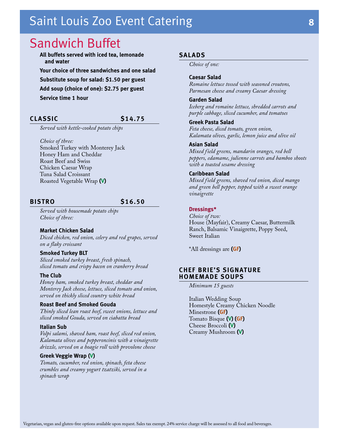### <span id="page-9-0"></span>Sandwich Buffet

**All buffets served with iced tea, lemonade and water Your choice of three sandwiches and one salad Substitute soup for salad: \$1.50 per guest Add soup (choice of one): \$2.75 per guest Service time 1 hour**

#### **CLASSIC \$14.75**

*Served with kettle-cooked potato chips*

*Choice of three:* Smoked Turkey with Monterey Jack Honey Ham and Cheddar Roast Beef and Swiss Chicken Caesar Wrap Tuna Salad Croissant Roasted Vegetable Wrap **(V)**

#### **BISTRO \$16.50**

*Served with housemade potato chips Choice of three:*

#### **Market Chicken Salad** *Diced chicken, red onion, celery and red grapes, served on a flaky croissant*

#### **Smoked Turkey BLT**

*Sliced smoked turkey breast, fresh spinach, sliced tomato and crispy bacon on cranberry bread*

#### **The Club**

*Honey ham, smoked turkey breast, cheddar and Monterey Jack cheese, lettuce, sliced tomato and onion, served on thickly sliced country white bread*

#### **Roast Beef and Smoked Gouda**

*Thinly sliced lean roast beef, sweet onions, lettuce and sliced smoked Gouda, served on ciabatta bread*

#### **Italian Sub**

*Volpi salami, shaved ham, roast beef, sliced red onion, Kalamata olives and pepperoncinis with a vinaigrette drizzle, served on a hoagie roll with provolone cheese*

#### **Greek Veggie Wrap (V)**

*Tomato, cucumber, red onion, spinach, feta cheese crumbles and creamy yogurt tzatziki, served in a spinach wrap* 

#### **SALADS**

*Choice of one:*

#### **Caesar Salad**

*Romaine lettuce tossed with seasoned croutons, Parmesan cheese and creamy Caesar dressing* 

#### **Garden Salad**

*Iceberg and romaine lettuce, shredded carrots and purple cabbage, sliced cucumber, and tomatoes* 

#### **Greek Pasta Salad**

*Feta cheese, diced tomato, green onion, Kalamata olives, garlic, lemon juice and olive oil* 

#### **Asian Salad**

*Mixed field greens, mandarin oranges, red bell peppers, edamame, julienne carrots and bamboo shoots with a toasted sesame dressing* 

#### **Caribbean Salad**

*Mixed field greens, shaved red onion, diced mango and green bell pepper, topped with a sweet orange vinaigrette* 

#### **Dressings\***

*Choice of two:* House (Mayfair), Creamy Caesar, Buttermilk Ranch, Balsamic Vinaigrette, Poppy Seed, Sweet Italian

\*All dressings are **(GF)**

#### **CHEF BRIE'S SIGNATURE HOMEMADE SOUPS**

*Minimum 15 guests*

Italian Wedding Soup Homestyle Creamy Chicken Noodle Minestrone **(GF)** Tomato Bisque **(V) (GF)** Cheese Broccoli **(V)** Creamy Mushroom **(V)**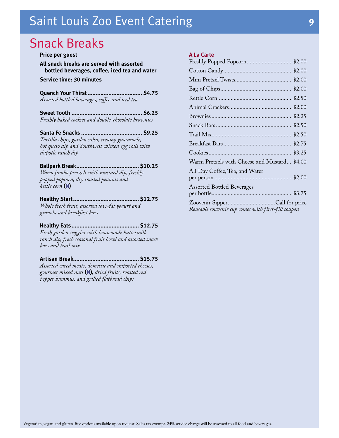### <span id="page-10-0"></span>Snack Breaks

### **Price per guest All snack breaks are served with assorted**

**bottled beverages, coffee, iced tea and water Service time: 30 minutes**

**Quench Your Thirst.................................. \$4.75** *Assorted bottled beverages, coffee and iced tea*

**Sweet Tooth ............................................ \$6.25** *Freshly baked cookies and double-chocolate brownies*

**Santa Fe Snacks ...................................... \$9.25** *Tortilla chips, garden salsa, creamy guacamole, hot queso dip and Southwest chicken egg rolls with chipotle ranch dip*

#### **Ballpark Break....................................... \$10.25**

*Warm jumbo pretzels with mustard dip, freshly popped popcorn, dry roasted peanuts and kettle corn* **(N)**

#### **Healthy Start......................................... \$12.75**

*Whole fresh fruit, assorted low-fat yogurt and granola and breakfast bars*

### **Healthy Eats.......................................... \$12.75**

*Fresh garden veggies with housemade buttermilk ranch dip, fresh seasonal fruit bowl and assorted snack bars and trail mix*

#### **Artisan Break......................................... \$15.75** *Assorted cured meats, domestic and imported cheeses, gourmet mixed nuts* **(N)***, dried fruits, roasted red pepper hummus, and grilled flatbread chips*

#### **A La Carte**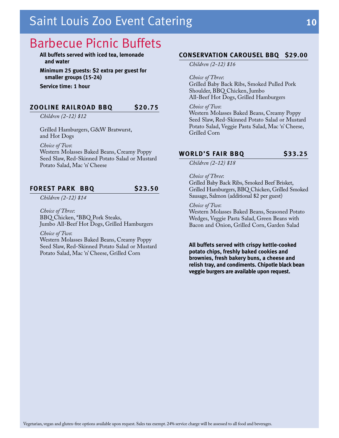### <span id="page-11-0"></span>Barbecue Picnic Buffets

**All buffets served with iced tea, lemonade and water**

**Minimum 25 guests: \$2 extra per guest for smaller groups (15-24)**

**Service time: 1 hour**

#### **ZOOLINE RAILROAD BBQ \$20.75**

*Children (2-12) \$12*

Grilled Hamburgers, G&W Bratwurst, and Hot Dogs

*Choice of Two*:

Western Molasses Baked Beans, Creamy Poppy Seed Slaw, Red-Skinned Potato Salad or Mustard Potato Salad, Mac 'n' Cheese

#### **FOREST PARK BBQ \$23.50**

*Children (2-12) \$14*

*Choice of Three*: BBQ Chicken, \*BBQ Pork Steaks, Jumbo All-Beef Hot Dogs, Grilled Hamburgers

*Choice of Two*:

Western Molasses Baked Beans, Creamy Poppy Seed Slaw, Red-Skinned Potato Salad or Mustard Potato Salad, Mac 'n' Cheese, Grilled Corn

#### **CONSERVATION CAROUSEL BBQ \$29.00**

*Children (2-12) \$16*

*Choice of Three*:

Grilled Baby Back Ribs, Smoked Pulled Pork Shoulder, BBQ Chicken, Jumbo All-Beef Hot Dogs, Grilled Hamburgers

#### *Choice of Two*:

Western Molasses Baked Beans, Creamy Poppy Seed Slaw, Red-Skinned Potato Salad or Mustard Potato Salad, Veggie Pasta Salad, Mac 'n' Cheese, Grilled Corn

#### **WORLD'S FAIR BBQ \$33.25**

*Children (2-12) \$18*

#### *Choice of Three*:

Grilled Baby Back Ribs, Smoked Beef Brisket, Grilled Hamburgers, BBQ Chicken, Grilled Smoked Sausage, Salmon (additional \$2 per guest)

#### *Choice of Two*:

Western Molasses Baked Beans, Seasoned Potato Wedges, Veggie Pasta Salad, Green Beans with Bacon and Onion, Grilled Corn, Garden Salad

**All buffets served with crispy kettle-cooked potato chips, freshly baked cookies and brownies, fresh bakery buns, a cheese and relish tray, and condiments. Chipotle black bean veggie burgers are available upon request.**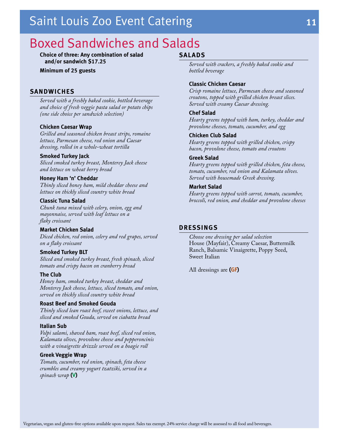### <span id="page-12-0"></span>Boxed Sandwiches and Salads

**Choice of three: Any combination of salad and/or sandwich \$17.25**

**Minimum of 25 guests**

#### **SANDWICHES**

*Served with a freshly baked cookie, bottled beverage and choice of fresh veggie pasta salad or potato chips (one side choice per sandwich selection)*

#### **Chicken Caesar Wrap**

*Grilled and seasoned chicken breast strips, romaine lettuce, Parmesan cheese, red onion and Caesar dressing, rolled in a whole-wheat tortilla*

#### **Smoked Turkey Jack**

*Sliced smoked turkey breast, Monterey Jack cheese and lettuce on wheat berry bread*

#### **Honey Ham 'n' Cheddar**

*Thinly sliced honey ham, mild cheddar cheese and lettuce on thickly sliced country white bread*

#### **Classic Tuna Salad**

*Chunk tuna mixed with celery, onion, egg and mayonnaise, served with leaf lettuce on a flaky croissant*

#### **Market Chicken Salad**

*Diced chicken, red onion, celery and red grapes, served on a flaky croissant*

#### **Smoked Turkey BLT**

*Sliced and smoked turkey breast, fresh spinach, sliced tomato and crispy bacon on cranberry bread*

#### **The Club**

*Honey ham, smoked turkey breast, cheddar and Monterey Jack cheese, lettuce, sliced tomato, and onion, served on thickly sliced country white bread*

#### **Roast Beef and Smoked Gouda**

*Thinly sliced lean roast beef, sweet onions, lettuce, and sliced and smoked Gouda, served on ciabatta bread*

#### **Italian Sub**

*Volpi salami, shaved ham, roast beef, sliced red onion, Kalamata olives, provolone cheese and pepperoncinis with a vinaigrette drizzle served on a hoagie roll*

#### **Greek Veggie Wrap**

*Tomato, cucumber, red onion, spinach, feta cheese crumbles and creamy yogurt tzatziki, served in a spinach wrap* **(V)**

#### **SALADS**

*Served with crackers, a freshly baked cookie and bottled beverage*

#### **Classic Chicken Caesar**

*Crisp romaine lettuce, Parmesan cheese and seasoned croutons, topped with grilled chicken breast slices. Served with creamy Caesar dressing.*

#### **Chef Salad**

*Hearty greens topped with ham, turkey, cheddar and provolone cheeses, tomato, cucumber, and egg*

#### **Chicken Club Salad**

*Hearty greens topped with grilled chicken, crispy bacon, provolone cheese, tomato and croutons*

#### **Greek Salad**

*Hearty greens topped with grilled chicken, feta cheese, tomato, cucumber, red onion and Kalamata olives. Served with housemade Greek dressing.*

#### **Market Salad**

*Hearty greens topped with carrot, tomato, cucumber, broccoli, red onion, and cheddar and provolone cheeses*

#### **DRESSINGS**

*Choose one dressing per salad selection* House (Mayfair), Creamy Caesar, Buttermilk Ranch, Balsamic Vinaigrette, Poppy Seed, Sweet Italian

All dressings are **(GF)**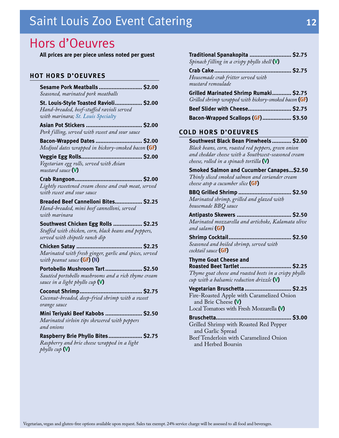### <span id="page-13-0"></span>Hors d'Oeuvres

**All prices are per piece unless noted per guest**

#### **HOT HORS D'OEUVRES**

| Sesame Pork Meatballs  \$2.00                                                                                             |  |
|---------------------------------------------------------------------------------------------------------------------------|--|
| Seasoned, marinated pork meatballs                                                                                        |  |
| St. Louis-Style Toasted Ravioli \$2.00<br>Hand-breaded, beef-stuffed ravioli served<br>with marinara; St. Louis Specialty |  |
|                                                                                                                           |  |
| Pork filling, served with sweet and sour sauce                                                                            |  |
| Bacon-Wrapped Dates  \$2.00                                                                                               |  |
| Medjool dates wrapped in hickory-smoked bacon (GF)                                                                        |  |
|                                                                                                                           |  |
| Vegetarian egg rolls, served with Asian<br>mustard sauce <b>(V)</b>                                                       |  |
|                                                                                                                           |  |
| Lightly sweetened cream cheese and crab meat, served<br>with sweet and sour sauce                                         |  |
| Breaded Beef Cannelloni Bites \$2.25<br>Hand-breaded, mini beef cannelloni, served<br>with marinara                       |  |
| Southwest Chicken Egg Rolls  \$2.25                                                                                       |  |
| Stuffed with chicken, corn, black beans and peppers,<br>served with chipotle ranch dip                                    |  |
| Chicken Satay<br>S2.25                                                                                                    |  |
| Marinated with fresh ginger, garlic and spices, served<br>with peanut sauce (GF) (N)                                      |  |
| Portobello Mushroom Tart \$2.50                                                                                           |  |
| Sautéed portobello mushrooms and a rich thyme cream<br>sauce in a light phyllo cup ${\sf W}$                              |  |
|                                                                                                                           |  |
| Coconut-breaded, deep-fried shrimp with a sweet                                                                           |  |
| orange sauce                                                                                                              |  |
| Mini Teriyaki Beef Kabobs  \$2.50                                                                                         |  |
| Marinated sirloin tips skewered with peppers<br>and onions                                                                |  |
| Raspberry Brie Phyllo Bites \$2.75                                                                                        |  |
| Raspberry and brie cheese wrapped in a light<br>phyllo cup <b>(V)</b>                                                     |  |

| Traditional Spanakopita<br>\$2.75                                                                |  |
|--------------------------------------------------------------------------------------------------|--|
| Spinach filling in a crispy phyllo shell $(V)$                                                   |  |
|                                                                                                  |  |
| Housemade crab fritter served with<br>mustard remoulade                                          |  |
| Grilled Marinated Shrimp Rumaki \$2.75                                                           |  |
| Grilled shrimp wrapped with hickory-smoked bacon (GF)                                            |  |
| Beef Slider with Cheese \$2.75                                                                   |  |
| Bacon-Wrapped Scallops (GF) \$3.50                                                               |  |
|                                                                                                  |  |
| <b>COLD HORS D'OEUVRES</b>                                                                       |  |
| Southwest Black Bean Pinwheels \$2.00                                                            |  |
| Black beans, corn, roasted red peppers, green onion                                              |  |
| and cheddar cheese with a Southwest-seasoned cream<br>cheese, rolled in a spinach tortilla $(V)$ |  |
| Smoked Salmon and Cucumber Canapes\$2.50                                                         |  |
| Thinly sliced smoked salmon and coriander cream                                                  |  |
| cheese atop a cucumber slice (GF)                                                                |  |
| BBQ Grilled Shrimp  \$2.50                                                                       |  |
| Marinated shrimp, grilled and glazed with                                                        |  |
| housemade BBQ sauce<br>. \$2.50                                                                  |  |
| Antipasto Skewers<br>Marinated mozzarella and artichoke, Kalamata olive                          |  |
| and salami (GF)                                                                                  |  |
| <b>Shrimp Cocktail</b><br>\$2.50                                                                 |  |
| Seasoned and boiled shrimp, served with                                                          |  |
| cocktail sauce (GF)                                                                              |  |
| <b>Thyme Goat Cheese and</b><br><b>Roasted Beet Tartlet </b><br><b>S2.25</b>                     |  |
| Thyme goat cheese and roasted beets in a crispy phyllo                                           |  |
| cup with a balsamic reduction drizzle $(V)$                                                      |  |
| Vegetarian Bruschetta  \$2.25                                                                    |  |
| Fire-Roasted Apple with Caramelized Onion                                                        |  |
| and Brie Cheese (V)<br>Local Tomatoes with Fresh Mozzarella (V)                                  |  |
|                                                                                                  |  |

**Bruschetta............................................... \$3.00** Grilled Shrimp with Roasted Red Pepper and Garlic Spread Beef Tenderloin with Caramelized Onion and Herbed Boursin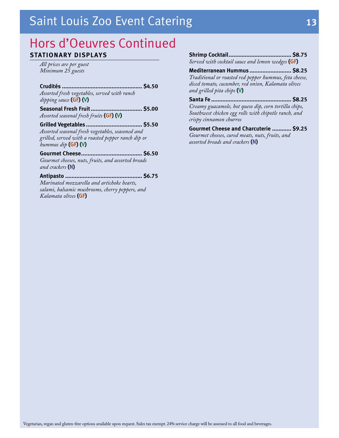### Hors d'Oeuvres Continued **STATIONARY DISPLAYS**

*All prices are per guest Minimum 25 guests*

**Crudités .................................................. \$4.50** *Assorted fresh vegetables, served with ranch* 

*dipping sauce* **(GF) (V)**

**Seasonal Fresh Fruit................................ \$5.00** *Assorted seasonal fresh fruits* **(GF) (V)**

**Grilled Vegetables ................................... \$5.50** *Assorted seasonal fresh vegetables, seasoned and grilled, served with a roasted pepper ranch dip or hummus dip* **(GF) (V)**

**Gourmet Cheese...................................... \$6.50** *Gourmet cheeses, nuts, fruits, and assorted breads and crackers* **(N)**

**Antipasto ................................................ \$6.75** *Marinated mozzarella and artichoke hearts, salami, balsamic mushrooms, cherry peppers, and Kalamata olives* **(GF)**

**Shrimp Cocktail....................................... \$8.75** *Served with cocktail sauce and lemon wedges* **(GF)**

**Mediterranean Hummus .......................... \$8.25** *Traditional or roasted red pepper hummus, feta cheese, diced tomato, cucumber, red onion, Kalamata olives and grilled pita chips* **(V)**

**Santa Fe .................................................. \$8.25** *Creamy guacamole, hot queso dip, corn tortilla chips, Southwest chicken egg rolls with chipotle ranch, and crispy cinnamon churros*

**Gourmet Cheese and Charcuterie ............ \$9.25** *Gourmet cheeses, cured meats, nuts, fruits, and assorted breads and crackers* **(N)**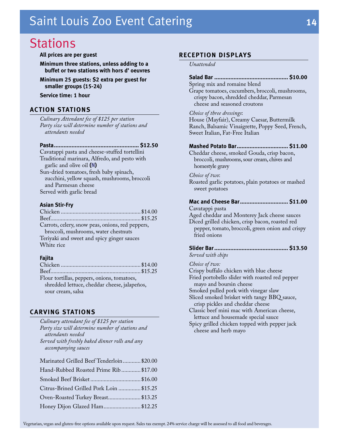### <span id="page-15-0"></span>**Stations**

**All prices are per guest**

**Minimum three stations, unless adding to a buffet or two stations with hors d' oeuvres**

**Minimum 25 guests: \$2 extra per guest for smaller groups (15-24)**

**Service time: 1 hour**

#### **ACTION STATIONS**

*Culinary Attendant fee of \$125 per station Party size will determine number of stations and attendants needed*

**Pasta..................................................... \$12.50**

Cavatappi pasta and cheese-stuffed tortellini Traditional marinara, Alfredo, and pesto with garlic and olive oil **(N)**

Sun-dried tomatoes, fresh baby spinach, zucchini, yellow squash, mushrooms, broccoli and Parmesan cheese Served with garlic bread

#### **Asian Stir-Fry**

#### **Fajita**

| Flour tortillas, peppers, onions, tomatoes,  |  |
|----------------------------------------------|--|
| shredded lettuce, cheddar cheese, jalapeños, |  |
| sour cream, salsa                            |  |

#### **CARVING STATIONS**

| Culinary attendant fee of \$125 per station      |  |
|--------------------------------------------------|--|
| Party size will determine number of stations and |  |
| attendants needed                                |  |
| Served with freshly baked dinner rolls and any   |  |
| accompanying sauces                              |  |
| Marinated Grilled Beef Tenderloin \$20.00        |  |
| Hand-Rubbed Roasted Prime Rib\$17.00             |  |
|                                                  |  |
| Citrus-Brined Grilled Pork Loin  \$15.25         |  |
| Oven-Roasted Turkey Breast \$13.25               |  |
| Honey Dijon Glazed Ham \$12.25                   |  |
|                                                  |  |

#### **RECEPTION DISPLAYS**

*Unattended*

#### **Salad Bar .............................................. \$10.00**

Spring mix and romaine blend Grape tomatoes, cucumbers, broccoli, mushrooms, crispy bacon, shredded cheddar, Parmesan cheese and seasoned croutons

#### *Choice of three dressings*:

House (Mayfair), Creamy Caesar, Buttermilk Ranch, Balsamic Vinaigrette, Poppy Seed, French, Sweet Italian, Fat-Free Italian

#### **Mashed Potato Bar................................ \$11.00**

Cheddar cheese, smoked Gouda, crisp bacon, broccoli, mushrooms, sour cream, chives and homestyle gravy

#### *Choice of two*:

Roasted garlic potatoes, plain potatoes or mashed sweet potatoes

#### **Mac and Cheese Bar.............................. \$11.00**

Cavatappi pasta

Aged cheddar and Monterey Jack cheese sauces Diced grilled chicken, crisp bacon, roasted red

pepper, tomato, broccoli, green onion and crispy fried onions

### **Slider Bar.............................................. \$13.50**

*Served with chips*

*Choice of two:* 

Crispy buffalo chicken with blue cheese

Fried portobello slider with roasted red pepper mayo and boursin cheese

Smoked pulled pork with vinegar slaw

Sliced smoked brisket with tangy BBQ sauce, crisp pickles and cheddar cheese

Classic beef mini mac with American cheese, lettuce and housemade special sauce

Spicy grilled chicken topped with pepper jack cheese and herb mayo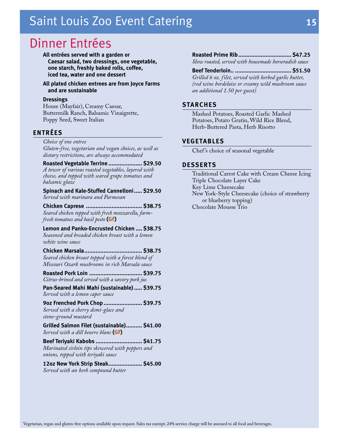### <span id="page-16-0"></span>Dinner Entrées

**All entrées served with a garden or Caesar salad, two dressings, one vegetable, one starch, freshly baked rolls, coffee, iced tea, water and one dessert**

**All plated chicken entrees are from Joyce Farms and are sustainable**

#### **Dressings**

House (Mayfair), Creamy Caesar, Buttermilk Ranch, Balsamic Vinaigrette, Poppy Seed, Sweet Italian

#### **ENTRÉES**

*Choice of one entree* 

*Gluten-free, vegetarian and vegan choices, as well as dietary restrictions, are always accommodated*

**Roasted Vegetable Terrine ..................... \$29.50** *A tower of various roasted vegetables, layered with cheese, and topped with seared grape tomatoes and balsamic glaze*

**Spinach and Kale-Stuffed Cannelloni..... \$29.50** *Served with marinara and Parmesan* 

**Chicken Caprese ................................... \$38.75** *Seared chicken topped with fresh mozzarella, farmfresh tomatoes and basil pesto* **(GF)**

**Lemon and Panko-Encrusted Chicken .... \$38.75** *Seasoned and breaded chicken breast with a lemon white wine sauce* 

**Chicken Marsala.................................... \$38.75** *Seared chicken breast topped with a forest blend of Missouri Ozark mushrooms in rich Marsala sauce* 

**Roasted Pork Loin ................................. \$39.75** *Citrus-brined and served with a savory pork jus*

**Pan-Seared Mahi Mahi (sustainable)..... \$39.75** *Served with a lemon caper sauce*

**9oz Frenched Pork Chop........................ \$39.75** *Served with a cherry demi-glace and stone-ground mustard*

**Grilled Salmon Filet (sustainable).......... \$41.00** *Served with a dill beurre blanc* **(GF)**

**Beef Teriyaki Kabobs ............................. \$41.75** *Marinated sirloin tips skewered with peppers and onions, topped with teriyaki sauce*

**12oz New York Strip Steak..................... \$45.00** *Served with an herb compound butter*

#### **Roasted Prime Rib................................. \$47.25** *Slow roasted, served with housemade horseradish sauce*

#### **Beef Tenderloin.. ................................... \$51.50**

*Grilled 6 oz. filet, served with herbed garlic butter, (red wine bordelaise or creamy wild mushroom sauce an additional 1.50 per guest)*

#### **STARCHES**

Mashed Potatoes, Roasted Garlic Mashed Potatoes, Potato Gratin, Wild Rice Blend, Herb-Buttered Pasta, Herb Risotto

#### **VEGETABLES**

Chef 's choice of seasonal vegetable

#### **DESSERTS**

Traditional Carrot Cake with Cream Cheese Icing Triple Chocolate Layer Cake Key Lime Cheesecake New York-Style Cheesecake (choice of strawberry or blueberry topping) Chocolate Mousse Trio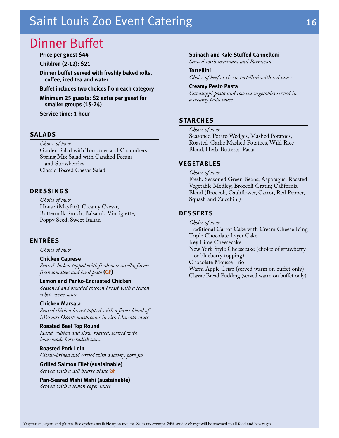### <span id="page-17-0"></span>Dinner Buffet

**Price per guest \$44**

**Children (2-12): \$21**

**Dinner buffet served with freshly baked rolls, coffee, iced tea and water**

**Buffet includes two choices from each category**

**Minimum 25 guests: \$2 extra per guest for smaller groups (15-24)**

**Service time: 1 hour**

#### **SALADS**

*Choice of two:*

Garden Salad with Tomatoes and Cucumbers Spring Mix Salad with Candied Pecans and Strawberries Classic Tossed Caesar Salad

#### **DRESSINGS**

*Choice of two:* House (Mayfair), Creamy Caesar, Buttermilk Ranch, Balsamic Vinaigrette, Poppy Seed, Sweet Italian

#### **ENTRÉES**

*Choice of two:*

#### **Chicken Caprese**

*Seared chicken topped with fresh mozzarella, farmfresh tomatoes and basil pesto* **(GF)**

#### **Lemon and Panko-Encrusted Chicken**

*Seasoned and breaded chicken breast with a lemon white wine sauce* 

#### **Chicken Marsala**

*Seared chicken breast topped with a forest blend of Missouri Ozark mushrooms in rich Marsala sauce* 

#### **Roasted Beef Top Round**

*Hand-rubbed and slow-roasted, served with housemade horseradish sauce*

#### **Roasted Pork Loin**

*Citrus-brined and served with a savory pork jus*

**Grilled Salmon Filet (sustainable)** *Served with a dill beurre blanc* **GF** 

**Pan-Seared Mahi Mahi (sustainable)** *Served with a lemon caper sauce*

#### **Spinach and Kale-Stuffed Cannelloni**

*Served with marinara and Parmesan* 

#### **Tortellini**

*Choice of beef or cheese tortellini with red sauce*

#### **Creamy Pesto Pasta**

*Cavatappi pasta and roasted vegetables served in a creamy pesto sauce* 

#### **STARCHES**

*Choice of two:*

Seasoned Potato Wedges, Mashed Potatoes, Roasted-Garlic Mashed Potatoes, Wild Rice Blend, Herb-Buttered Pasta

#### **VEGETABLES**

*Choice of two:*

Fresh, Seasoned Green Beans; Asparagus; Roasted Vegetable Medley; Broccoli Gratin; California Blend (Broccoli, Cauliflower, Carrot, Red Pepper, Squash and Zucchini)

#### **DESSERTS**

*Choice of two:* Traditional Carrot Cake with Cream Cheese Icing Triple Chocolate Layer Cake Key Lime Cheesecake New York Style Cheesecake (choice of strawberry or blueberry topping) Chocolate Mousse Trio Warm Apple Crisp (served warm on buffet only) Classic Bread Pudding (served warm on buffet only)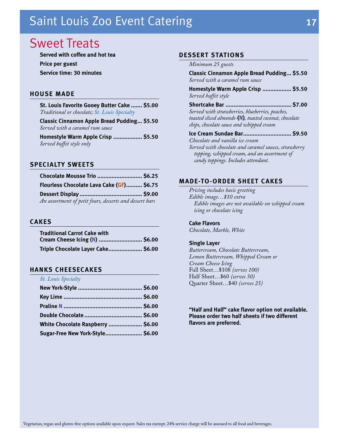### <span id="page-18-0"></span>Sweet Treats

**Served with coffee and hot tea Price per guest Service time: 30 minutes**

#### **HOUSE MADE**

**St. Louis Favorite Gooey Butter Cake ....... \$5.00** *Traditional or chocolate; St. Louis Specialty*

**Classic Cinnamon Apple Bread Pudding... \$5.50** *Served with a caramel rum sauce*

**Homestyle Warm Apple Crisp .................. \$5.50** *Served buffet style only*

#### **SPECIALTY SWEETS**

| Chocolate Mousse Trio  \$6.25                           |  |
|---------------------------------------------------------|--|
| Flourless Chocolate Lava Cake (GF) \$6.75               |  |
|                                                         |  |
| An assortment of petit fours, desserts and dessert bars |  |

#### **CAKES**

| <b>Traditional Carrot Cake with</b> |  |
|-------------------------------------|--|
|                                     |  |
| Triple Chocolate Layer Cake \$6.00  |  |

#### **HANKS CHEESECAKES**

| <b>St. Louis Specialty</b>        |  |
|-----------------------------------|--|
|                                   |  |
|                                   |  |
|                                   |  |
|                                   |  |
| White Chocolate Raspberry  \$6.00 |  |
| Sugar-Free New York-Style \$6.00  |  |

#### **DESSERT STATIONS**

#### *Minimum 25 guests*

**Classic Cinnamon Apple Bread Pudding... \$5.50** *Served with a caramel rum sauce*

**Homestyle Warm Apple Crisp .................. \$5.50** *Served buffet style*

**Shortcake Bar ......................................... \$7.00** *Served with strawberries, blueberries, peaches, toasted sliced almonds-***(N)***, toasted coconut, chocolate chips, chocolate sauce and whipped cream*

**Ice Cream Sundae Bar.............................. \$9.50** *Chocolate and vanilla ice cream Served with chocolate and caramel sauces, strawberry* 

*topping, whipped cream, and an assortment of candy toppings. Includes attendant.*

#### **MADE-TO-ORDER SHEET CAKES**

*Pricing includes basic greeting Edible image…\$10 extra Edible images are not available on whipped cream icing or chocolate icing*

#### **Cake Flavors**

*Chocolate, Marble, White*

#### **Single Layer**

*Buttercream, Chocolate Buttercream, Lemon Buttercream, Whipped Cream or Cream Cheese Icing* Full Sheet…\$108 *(serves 100)* Half Sheet…\$60 *(serves 50)* Quarter Sheet…\$40 *(serves 25)*

**"Half and Half" cake flavor option not available. Please order two half sheets if two different flavors are preferred.**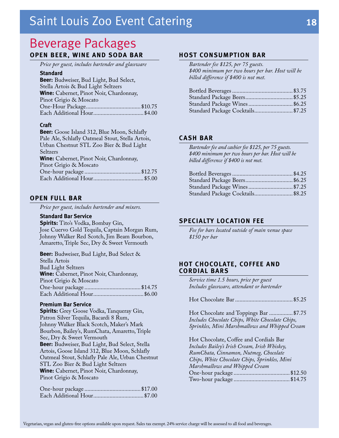### <span id="page-19-0"></span>Beverage Packages **OPEN BEER, WINE AND SODA BAR**

*Price per guest, includes bartender and glassware*

#### **Standard**

#### **Craft**

**Beer:** Goose Island 312, Blue Moon, Schlafly Pale Ale, Schlafly Oatmeal Stout, Stella Artois, Urban Chestnut STL Zoo Bier & Bud Light Seltzers **Wine:** Cabernet, Pinot Noir, Chardonnay, Pinot Grigio & Moscato One-hour package ......................................\$12.75 Each Additional Hour..................................\$5.00

#### **OPEN FULL BAR**

*Price per guest, includes bartender and mixers.*

#### **Standard Bar Service**

**Spirits:** Tito's Vodka, Bombay Gin, Jose Cuervo Gold Tequila, Captain Morgan Rum, Johnny Walker Red Scotch, Jim Beam Bourbon, Amaretto, Triple Sec, Dry & Sweet Vermouth

**Beer:** Budweiser, Bud Light, Bud Select & Stella Artois Bud Light Seltzers **Wine:** Cabernet, Pinot Noir, Chardonnay, Pinot Grigio & Moscato One-hour package ......................................\$14.75 Each Additional Hour..................................\$6.00

#### **Premium Bar Service**

**Spirits:** Grey Goose Vodka, Tanqueray Gin, Patron Silver Tequila, Bacardi 8 Rum, Johnny Walker Black Scotch, Maker's Mark Bourbon, Bailey's, RumChata, Amaretto, Triple Sec, Dry & Sweet Vermouth **Beer:** Budweiser, Bud Light, Bud Select, Stella Artois, Goose Island 312, Blue Moon, Schlafly Oatmeal Stout, Schlafly Pale Ale, Urban Chestnut STL Zoo Bier & Bud Light Seltzers **Wine:** Cabernet, Pinot Noir, Chardonnay, Pinot Grigio & Moscato

#### **HOST CONSUMPTION BAR**

*Bartender fee \$125, per 75 guests. \$400 minimum per two hours per bar. Host will be billed difference if \$400 is not met.*

| Standard Package Wines \$6.25     |  |
|-----------------------------------|--|
| Standard Package Cocktails \$7.25 |  |

#### **CASH BAR**

*Bartender fee and cashier fee \$125, per 75 guests. \$400 minimum per two hours per bar. Host will be billed difference if \$400 is not met.*

| Standard Package Cocktails \$8.25 |  |
|-----------------------------------|--|
| Standard Package Wines \$7.25     |  |

#### **SPECIALTY LOCATION FEE**

*Fee for bars located outside of main venue space \$150 per bar*

#### **HOT CHOCOLATE, COFFEE AND CORDIAL BARS**

*Service time 1.5 hours, price per guest Includes glassware, attendant or bartender*

Hot Chocolate Bar.......................................\$5.25

Hot Chocolate and Toppings Bar ................\$7.75 *Includes Chocolate Chips, White Chocolate Chips, Sprinkles, Mini Marshmallows and Whipped Cream*

Hot Chocolate, Coffee and Cordials Bar *Includes Bailey's Irish Cream, Irish Whiskey, RumChata, Cinnamon, Nutmeg, Chocolate Chips, White Chocolate Chips, Sprinkles, Mini Marshmallows and Whipped Cream* One-hour package ......................................\$12.50 Two-hour package ......................................\$14.75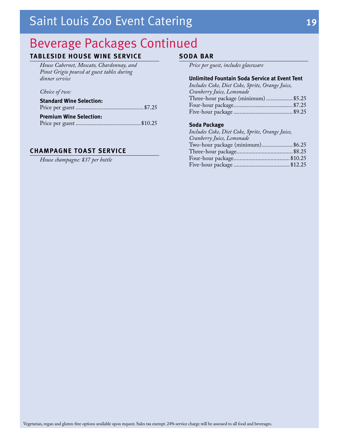### Beverage Packages Continued

### **TABLESIDE HOUSE WINE SERVICE**

*House Cabernet, Moscato, Chardonnay, and Pinot Grigio poured at guest tables during dinner service* 

#### *Choice of two:*

| <b>Standard Wine Selection:</b> |  |
|---------------------------------|--|
|                                 |  |
| <b>Premium Wine Selection:</b>  |  |
|                                 |  |

#### **CHAMPAGNE TOAST SERVICE**

*House champagne: \$37 per bottle*

#### **SODA BAR**

*Price per guest, includes glassware*

#### **Unlimited Fountain Soda Service at Event Tent**

| Includes Coke, Diet Coke, Sprite, Orange Juice, |  |
|-------------------------------------------------|--|
| Cranberry Juice, Lemonade                       |  |
| Three-hour package (minimum)  \$5.25            |  |
|                                                 |  |
|                                                 |  |
|                                                 |  |

#### **Soda Package**

| Includes Coke, Diet Coke, Sprite, Orange Juice, |  |
|-------------------------------------------------|--|
| Cranberry Juice, Lemonade                       |  |
| Two-hour package (minimum)\$6.25                |  |
|                                                 |  |
|                                                 |  |
|                                                 |  |
|                                                 |  |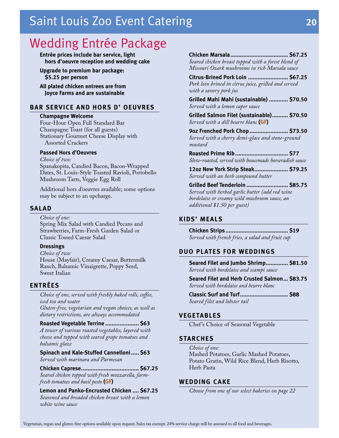### <span id="page-21-0"></span>Wedding Entrée Package

**Entrée prices include bar service, light hors d'oeuvre reception and wedding cake**

**Upgrade to premium bar package: \$5.25 per person**

**All plated chicken entrees are from Joyce Farms and are sustainable**

#### **BAR SERVICE AND HORS D' OEUVRES**

#### **Champagne Welcome**

Four-Hour Open Full Standard Bar Champagne Toast (for all guests) Stationary Gourmet Cheese Display with Assorted Crackers

#### **Passed Hors d'Oeuvres**

*Choice of two:*  Spanakopita, Candied Bacon, Bacon-Wrapped Dates, St. Louis-Style Toasted Ravioli, Portobello Mushroom Tarts, Veggie Egg Roll

Additional hors d'oeuvres available; some options may be subject to an upcharge.

#### **SALAD**

*Choice of one:* Spring Mix Salad with Candied Pecans and Strawberries, Farm-Fresh Garden Salad or Classic Tossed Caesar Salad

#### **Dressings**

*Choice of two:*

House (Mayfair), Creamy Caesar, Buttermilk Ranch, Balsamic Vinaigrette, Poppy Seed, Sweet Italian

#### **ENTRÉES**

*Choice of one, served with freshly baked rolls, coffee, iced tea and water*

*Gluten-free, vegetarian and vegan choices, as well as dietary restrictions, are always accommodated*

#### **Roasted Vegetable Terrine ..................... \$63**

*A tower of various roasted vegetables, layered with cheese and topped with seared grape tomatoes and balsamic glaze*

**Spinach and Kale-Stuffed Cannelloni..... \$63**

*Served with marinara and Parmesan* 

**Chicken Caprese.................................... \$67.25**  *Seared chicken topped with fresh mozzarella, farmfresh tomatoes and basil pesto* **(GF)**

**Lemon and Panko-Encrusted Chicken .... \$67.25** *Seasoned and breaded chicken breast with a lemon white wine sauce* 

**Chicken Marsala.................................... \$67.25** *Seared chicken breast topped with a forest blend of Missouri Ozark mushrooms in rich Marsala sauce* 

**Citrus-Brined Pork Loin ......................... \$67.25** *Pork loin brined in citrus juice, grilled and served with a savory pork jus*

**Grilled Mahi Mahi (sustainable) ............ \$70.50**  *Served with a lemon caper sauce* 

**Grilled Salmon Filet (sustainable).......... \$70.50** *Served with a dill beurre blanc* **(GF)**

**9oz Frenched Pork Chop........................ \$73.50** *Served with a cherry demi-glace and stone-ground mustard* 

**Roasted Prime Rib................................. \$77** *Slow-roasted, served with housemade horseradish sauce*

**12oz New York Strip Steak..................... \$79.25** *Served with an herb compound butter*

**Grilled Beef Tenderloin .......................... \$85.75** *Served with herbed garlic butter (add red wine bordelaise or creamy wild mushroom sauce, an additional \$1.50 per guest)*

#### **KIDS' MEALS**

**Chicken Strips....................................... \$19** *Served with french fries, a salad and fruit cup*

#### **DUO PLATES FOR WEDDINGS**

**Seared Filet and Jumbo Shrimp.............. \$81.50** *Served with bordelaise and scampi sauce* 

**Seared Filet and Herb Crusted Salmon... \$83.75** *Served with bordelaise and beurre blanc* 

**Classic Surf and Turf.............................. \$88** *Seared filet and lobster tail* 

#### **VEGETABLES**

Chef 's Choice of Seasonal Vegetable

#### **STARCHES**

*Choice of one:* Mashed Potatoes, Garlic Mashed Potatoes, Potato Gratin, Wild Rice Blend, Herb Risotto, Herb Pasta

#### **WEDDING CAKE**

*Choose from one of our select bakeries on page 22*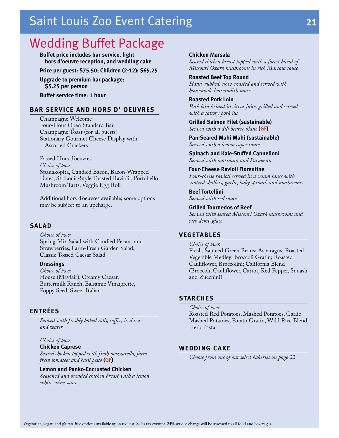### <span id="page-22-0"></span>Wedding Buffet Package

**Buffet price includes bar service, light hors d'oeuvre reception, and wedding cake**

**Price per guest: \$75.50; Children (2-12): \$65.25**

**Upgrade to premium bar package: \$5.25 per person**

**Buffet service time: 1 hour**

#### **BAR SERVICE AND HORS D' OEUVRES**

Champagne Welcome Four-Hour Open Standard Bar Champagne Toast (for all guests) Stationary Gourmet Cheese Display with Assorted Crackers

Passed Hors d'oeuvres *Choice of two:*  Spanakopita, Candied Bacon, Bacon-Wrapped Dates, St. Louis-Style Toasted Ravioli , Portobello Mushroom Tarts, Veggie Egg Roll

Additional hors d'oeuvres available; some options may be subject to an upcharge.

#### **SALAD**

*Choice of two:*  Spring Mix Salad with Candied Pecans and Strawberries, Farm-Fresh Garden Salad, Classic Tossed Caesar Salad

#### **Dressings**

*Choice of two:*  House (Mayfair), Creamy Caesar, Buttermilk Ranch, Balsamic Vinaigrette, Poppy Seed, Sweet Italian

#### **ENTRÉES**

*Served with freshly baked rolls, coffee, iced tea and water*

### *Choice of two:*

**Chicken Caprese** *Seared chicken topped with fresh mozzarella, farm-*

*fresh tomatoes and basil pesto* **(GF)**

#### **Lemon and Panko-Encrusted Chicken**

*Seasoned and breaded chicken breast with a lemon white wine sauce* 

Vegetarian, vegan and gluten-free options available upon request. Sales tax exempt. 24% service charge will be assessed to all food and beverages.

#### **Chicken Marsala**

*Seared chicken breast topped with a forest blend of Missouri Ozark mushrooms in rich Marsala sauce* 

**Roasted Beef Top Round** *Hand-rubbed, slow-roasted and served with housemade horseradish sauce*

**Roasted Pork Loin** *Pork loin brined in citrus juice, grilled and served with a savory pork jus*

**Grilled Salmon Filet (sustainable)** *Served with a dill beurre blanc* **(GF)**

**Pan-Seared Mahi Mahi (sustainable)** *Served with a lemon caper sauce*

**Spinach and Kale-Stuffed Cannelloni**  *Served with marinara and Parmesan* 

**Four-Cheese Ravioli Florentine** *Four-cheese ravioli served in a cream sauce with sauteed shallots, garlic, baby spinach and mushrooms* 

**Beef Tortellini** *Served with red sauce*

**Grilled Tournedos of Beef** *Served with seared Missouri Ozark mushrooms and rich demi-glace*

#### **VEGETABLES**

*Choice of two*: Fresh, Sauteed Green Beans; Asparagus; Roasted Vegetable Medley; Broccoli Gratin; Roasted Cauliflower, Broccolini; California Blend (Broccoli, Cauliflower, Carrot, Red Pepper, Squash and Zucchini)

#### **STARCHES**

*Choice of two*: Roasted Red Potatoes, Mashed Potatoes, Garlic Mashed Potatoes, Potato Gratin, Wild Rice Blend, Herb Pasta

#### **WEDDING CAKE**

*Choose from one of our select bakeries on page 22*